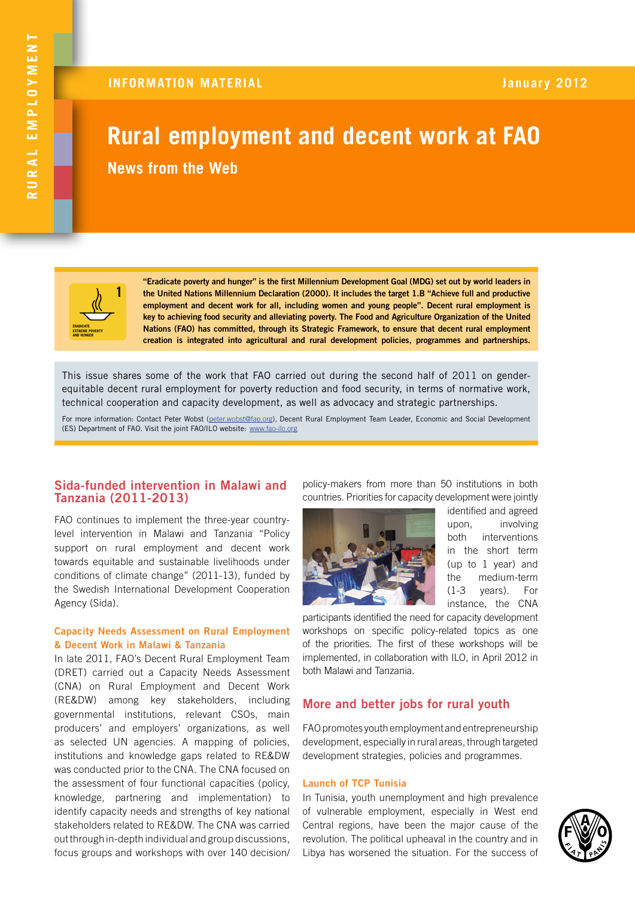# **Rural employment and decent work at FAO News from the Web**



**"Eradicate poverty and hunger" is the first Millennium Development Goal (MDG) set out by world leaders in the United Nations Millennium Declaration (2000). It includes the target 1.B "Achieve full and productive employment and decent work for all, including women and young people". Decent rural employment is key to achieving food security and alleviating poverty. The Food and Agriculture Organization of the United Nations (FAO) has committed, through its Strategic Framework, to ensure that decent rural employment creation is integrated into agricultural and rural development policies, programmes and partnerships.**

This issue shares some of the work that FAO carried out during the second half of 2011 on genderequitable decent rural employment for poverty reduction and food security, in terms of normative work, technical cooperation and capacity development, as well as advocacy and strategic partnerships.

For more information: Contact Peter Wobst [\(peter.wobst@fao.org\)](mailto:peter.wobst%40fao.org?subject=)*,* Decent Rural Employment Team Leader, Economic and Social Development (ES) Department of FAO. Visit the joint FAO/ILO website: www.fao-ilo.org

# **Sida-funded intervention in Malawi and Tanzania (2011-2013)**

FAO continues to implement the three-year countrylevel intervention in Malawi and Tanzania "Policy support on rural employment and decent work towards equitable and sustainable livelihoods under conditions of climate change" (2011-13), funded by the Swedish International Development Cooperation Agency (Sida).

## **Capacity Needs Assessment on Rural Employment & Decent Work in Malawi & Tanzania**

In late 2011, FAO's Decent Rural Employment Team (DRET) carried out a Capacity Needs Assessment (CNA) on Rural Employment and Decent Work (RE&DW) among key stakeholders, including governmental institutions, relevant CSOs, main producers' and employers' organizations, as well as selected UN agencies. A mapping of policies, institutions and knowledge gaps related to RE&DW was conducted prior to the CNA. The CNA focused on the assessment of four functional capacities (policy, knowledge, partnering and implementation) to identify capacity needs and strengths of key national stakeholders related to RE&DW. The CNA was carried out through in-depth individual and group discussions, focus groups and workshops with over 140 decision/

policy-makers from more than 50 institutions in both countries. Priorities for capacity development were jointly



identified and agreed upon, involving both interventions in the short term (up to 1 year) and the medium-term (1-3 years). For instance, the CNA

participants identified the need for capacity development workshops on specific policy-related topics as one of the priorities. The first of these workshops will be implemented, in collaboration with ILO, in April 2012 in both Malawi and Tanzania.

# **More and better jobs for rural youth**

FAO promotes youth employment and entrepreneurship development, especially in rural areas, through targeted development strategies, policies and programmes.

## **Launch of TCP Tunisia**

In Tunisia, youth unemployment and high prevalence of vulnerable employment, especially in West end Central regions, have been the major cause of the revolution. The political upheaval in the country and in Libya has worsened the situation. For the success of

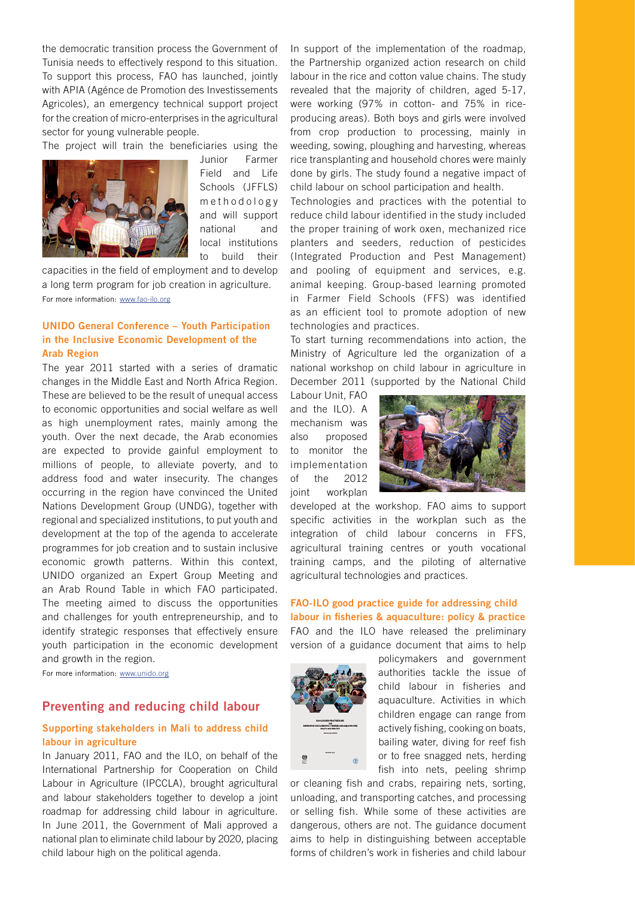the democratic transition process the Government of Tunisia needs to effectively respond to this situation. To support this process, FAO has launched, jointly with APIA (Agénce de Promotion des Investissements Agricoles), an emergency technical support project for the creation of micro-enterprises in the agricultural sector for young vulnerable people.

The project will train the beneficiaries using the



Junior Farmer Field and Life Schools (JFFLS) m e thodology and will support national and local institutions to build their

capacities in the field of employment and to develop a long term program for job creation in agriculture. For more information: [www.fao-ilo.org](http://www.fao-ilo.org/news-ilo/detail/en/news/94268/icode/?no_cache=1)

# **UNIDO General Conference – Youth Participation in the Inclusive Economic Development of the Arab Region**

The year 2011 started with a series of dramatic changes in the Middle East and North Africa Region. These are believed to be the result of unequal access to economic opportunities and social welfare as well as high unemployment rates, mainly among the youth. Over the next decade, the Arab economies are expected to provide gainful employment to millions of people, to alleviate poverty, and to address food and water insecurity. The changes occurring in the region have convinced the United Nations Development Group (UNDG), together with regional and specialized institutions, to put youth and development at the top of the agenda to accelerate programmes for job creation and to sustain inclusive economic growth patterns. Within this context, UNIDO organized an Expert Group Meeting and an Arab Round Table in which FAO participated. The meeting aimed to discuss the opportunities and challenges for youth entrepreneurship, and to identify strategic responses that effectively ensure youth participation in the economic development and growth in the region.

For more information: [www.unido.org](www.unido.org/fileadmin/user_media/UNIDO_Worldwide/Arab_Programme/3511_1111%20english%20Round%20Table.pdf)

## **Preventing and reducing child labour**

# **Supporting stakeholders in Mali to address child labour in agriculture**

In January 2011, FAO and the ILO, on behalf of the International Partnership for Cooperation on Child Labour in Agriculture (IPCCLA), brought agricultural and labour stakeholders together to develop a joint roadmap for addressing child labour in agriculture. In June 2011, the Government of Mali approved a national plan to eliminate child labour by 2020, placing child labour high on the political agenda.

In support of the implementation of the roadmap, the Partnership organized action research on child labour in the rice and cotton value chains. The study revealed that the majority of children, aged 5-17, were working (97% in cotton- and 75% in riceproducing areas). Both boys and girls were involved from crop production to processing, mainly in weeding, sowing, ploughing and harvesting, whereas rice transplanting and household chores were mainly done by girls. The study found a negative impact of child labour on school participation and health.

Technologies and practices with the potential to reduce child labour identified in the study included the proper training of work oxen, mechanized rice planters and seeders, reduction of pesticides (Integrated Production and Pest Management) and pooling of equipment and services, e.g. animal keeping. Group-based learning promoted in Farmer Field Schools (FFS) was identified as an efficient tool to promote adoption of new technologies and practices.

To start turning recommendations into action, the Ministry of Agriculture led the organization of a national workshop on child labour in agriculture in December 2011 (supported by the National Child

Labour Unit, FAO and the ILO). A mechanism was also proposed to monitor the implementation of the 2012 joint workplan



developed at the workshop. FAO aims to support specific activities in the workplan such as the integration of child labour concerns in FFS, agricultural training centres or youth vocational training camps, and the piloting of alternative agricultural technologies and practices.

# **FAO-ILO good practice guide for addressing child labour in fisheries & aquaculture: policy & practice** FAO and the ILO have released the preliminary version of a guidance document that aims to help



policymakers and government authorities tackle the issue of child labour in fisheries and aquaculture. Activities in which children engage can range from actively fishing, cooking on boats, bailing water, diving for reef fish or to free snagged nets, herding fish into nets, peeling shrimp

or cleaning fish and crabs, repairing nets, sorting, unloading, and transporting catches, and processing or selling fish. While some of these activities are dangerous, others are not. The guidance document aims to help in distinguishing between acceptable forms of children's work in fisheries and child labour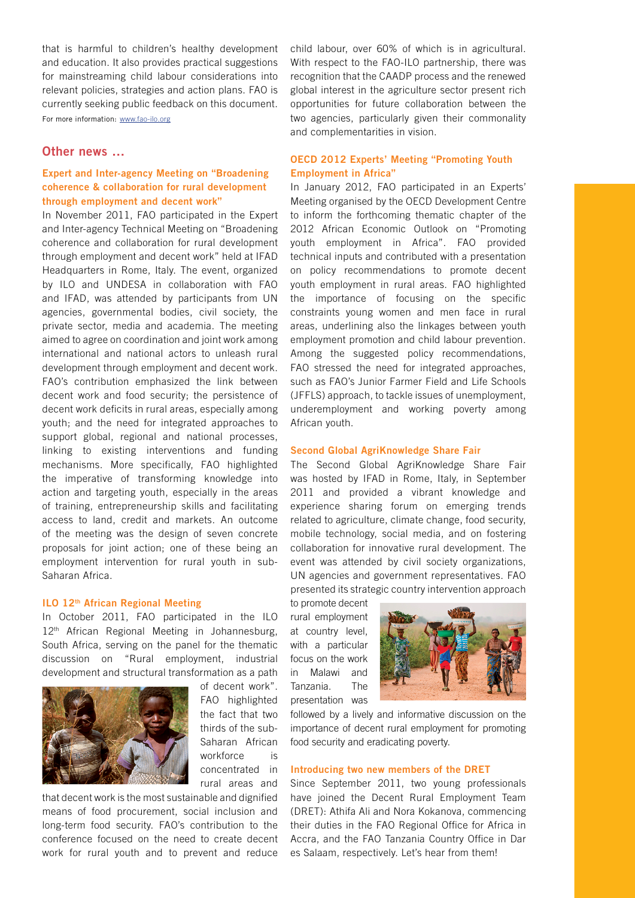that is harmful to children's healthy development and education. It also provides practical suggestions for mainstreaming child labour considerations into relevant policies, strategies and action plans. FAO is currently seeking public feedback on this document. For more information: [www.fao-ilo.or](http://www.fao-ilo.org/fileadmin/user_upload/fao_ilo/pdf/FAO-ILOGuidelines_child_labour_in_fisheries_and_aquaculture_Policy_practice_Preliminary_version.pdf)g

## **Other news …**

# **Expert and Inter-agency Meeting on "Broadening coherence & collaboration for rural development through employment and decent work"**

In November 2011, FAO participated in the Expert and Inter-agency Technical Meeting on "Broadening coherence and collaboration for rural development through employment and decent work" held at IFAD Headquarters in Rome, Italy. The event, organized by ILO and UNDESA in collaboration with FAO and IFAD, was attended by participants from UN agencies, governmental bodies, civil society, the private sector, media and academia. The meeting aimed to agree on coordination and joint work among international and national actors to unleash rural development through employment and decent work. FAO's contribution emphasized the link between decent work and food security; the persistence of decent work deficits in rural areas, especially among youth; and the need for integrated approaches to support global, regional and national processes, linking to existing interventions and funding mechanisms. More specifically, FAO highlighted the imperative of transforming knowledge into action and targeting youth, especially in the areas of training, entrepreneurship skills and facilitating access to land, credit and markets. An outcome of the meeting was the design of seven concrete proposals for joint action; one of these being an employment intervention for rural youth in sub-Saharan Africa.

### **ILO 12th African Regional Meeting**

In October 2011, FAO participated in the ILO 12<sup>th</sup> African Regional Meeting in Johannesburg, South Africa, serving on the panel for the thematic discussion on "Rural employment, industrial development and structural transformation as a path



of decent work". FAO highlighted the fact that two thirds of the sub-Saharan African workforce is concentrated in rural areas and

that decent work is the most sustainable and dignified means of food procurement, social inclusion and long-term food security. FAO's contribution to the conference focused on the need to create decent work for rural youth and to prevent and reduce child labour, over 60% of which is in agricultural. With respect to the FAO-ILO partnership, there was recognition that the CAADP process and the renewed global interest in the agriculture sector present rich opportunities for future collaboration between the two agencies, particularly given their commonality and complementarities in vision.

# **OECD 2012 Experts' Meeting "Promoting Youth Employment in Africa"**

In January 2012, FAO participated in an Experts' Meeting organised by the OECD Development Centre to inform the forthcoming thematic chapter of the 2012 African Economic Outlook on "Promoting youth employment in Africa". FAO provided technical inputs and contributed with a presentation on policy recommendations to promote decent youth employment in rural areas. FAO highlighted the importance of focusing on the specific constraints young women and men face in rural areas, underlining also the linkages between youth employment promotion and child labour prevention. Among the suggested policy recommendations, FAO stressed the need for integrated approaches, such as FAO's Junior Farmer Field and Life Schools (JFFLS) approach, to tackle issues of unemployment, underemployment and working poverty among African youth.

## **Second Global AgriKnowledge Share Fair**

The Second Global AgriKnowledge Share Fair was hosted by IFAD in Rome, Italy, in September 2011 and provided a vibrant knowledge and experience sharing forum on emerging trends related to agriculture, climate change, food security, mobile technology, social media, and on fostering collaboration for innovative rural development. The event was attended by civil society organizations, UN agencies and government representatives. FAO presented its strategic country intervention approach

to promote decent rural employment at country level, with a particular focus on the work in Malawi and Tanzania. The presentation was



followed by a lively and informative discussion on the importance of decent rural employment for promoting food security and eradicating poverty.

#### **Introducing two new members of the DRET**

Since September 2011, two young professionals have joined the Decent Rural Employment Team (DRET): Athifa Ali and Nora Kokanova, commencing their duties in the FAO Regional Office for Africa in Accra, and the FAO Tanzania Country Office in Dar es Salaam, respectively. Let's hear from them!